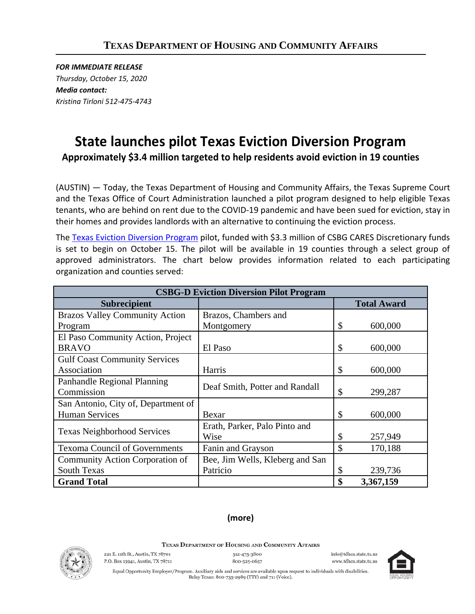*FOR IMMEDIATE RELEASE Thursday, October 15, 2020 Media contact: Kristina Tirloni 512-475-4743*

## **State launches pilot Texas Eviction Diversion Program**

**Approximately \$3.4 million targeted to help residents avoid eviction in 19 counties**

(AUSTIN) — Today, the Texas Department of Housing and Community Affairs, the Texas Supreme Court and the Texas Office of Court Administration launched a pilot program designed to help eligible Texas tenants, who are behind on rent due to the COVID-19 pandemic and have been sued for eviction, stay in their homes and provides landlords with an alternative to continuing the eviction process.

The [Texas Eviction Diversion Program](https://www.tdhca.state.tx.us/TEDP.htm) pilot, funded with \$3.3 million of CSBG CARES Discretionary funds is set to begin on October 15. The pilot will be available in 19 counties through a select group of approved administrators. The chart below provides information related to each participating organization and counties served:

| <b>CSBG-D Eviction Diversion Pilot Program</b> |                                 |    |                    |
|------------------------------------------------|---------------------------------|----|--------------------|
| <b>Subrecipient</b>                            |                                 |    | <b>Total Award</b> |
| <b>Brazos Valley Community Action</b>          | Brazos, Chambers and            |    |                    |
| Program                                        | Montgomery                      | \$ | 600,000            |
| El Paso Community Action, Project              |                                 |    |                    |
| <b>BRAVO</b>                                   | El Paso                         | \$ | 600,000            |
| <b>Gulf Coast Community Services</b>           |                                 |    |                    |
| Association                                    | Harris                          | \$ | 600,000            |
| Panhandle Regional Planning                    | Deaf Smith, Potter and Randall  |    |                    |
| Commission                                     |                                 | \$ | 299,287            |
| San Antonio, City of, Department of            |                                 |    |                    |
| <b>Human Services</b>                          | Bexar                           | \$ | 600,000            |
| <b>Texas Neighborhood Services</b>             | Erath, Parker, Palo Pinto and   |    |                    |
|                                                | Wise                            | \$ | 257,949            |
| <b>Texoma Council of Governments</b>           | Fanin and Grayson               | \$ | 170,188            |
| Community Action Corporation of                | Bee, Jim Wells, Kleberg and San |    |                    |
| <b>South Texas</b>                             | Patricio                        | \$ | 239,736            |
| <b>Grand Total</b>                             |                                 | \$ | 3,367,159          |

## **(more)**

TEXAS DEPARTMENT OF HOUSING AND COMMUNITY AFFAIRS



221 E. 11th St., Austin, TX 78701 P.O. Box 13941, Austin, TX 78711 512-475-3800 800-525-0657 info@tdhea state ty us www.tdhca.state.tx.us



Equal Opportunity Employer/Program. Auxiliary aids and services are available upon request to individuals with disabilities. Relay Texas: 800-735-2989 (TTY) and 711 (Voice).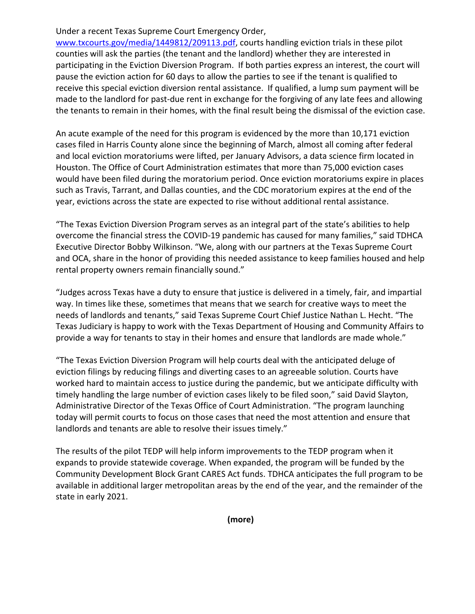## Under a recent Texas Supreme Court Emergency Order,

[www.txcourts.gov/media/1449812/209113.pdf,](http://www.txcourts.gov/media/1449812/209113.pdf) courts handling eviction trials in these pilot counties will ask the parties (the tenant and the landlord) whether they are interested in participating in the Eviction Diversion Program. If both parties express an interest, the court will pause the eviction action for 60 days to allow the parties to see if the tenant is qualified to receive this special eviction diversion rental assistance. If qualified, a lump sum payment will be made to the landlord for past-due rent in exchange for the forgiving of any late fees and allowing the tenants to remain in their homes, with the final result being the dismissal of the eviction case.

An acute example of the need for this program is evidenced by the more than 10,171 eviction cases filed in Harris County alone since the beginning of March, almost all coming after federal and local eviction moratoriums were lifted, per January Advisors, a data science firm located in Houston. The Office of Court Administration estimates that more than 75,000 eviction cases would have been filed during the moratorium period. Once eviction moratoriums expire in places such as Travis, Tarrant, and Dallas counties, and the CDC moratorium expires at the end of the year, evictions across the state are expected to rise without additional rental assistance.

"The Texas Eviction Diversion Program serves as an integral part of the state's abilities to help overcome the financial stress the COVID-19 pandemic has caused for many families," said TDHCA Executive Director Bobby Wilkinson. "We, along with our partners at the Texas Supreme Court and OCA, share in the honor of providing this needed assistance to keep families housed and help rental property owners remain financially sound."

"Judges across Texas have a duty to ensure that justice is delivered in a timely, fair, and impartial way. In times like these, sometimes that means that we search for creative ways to meet the needs of landlords and tenants," said Texas Supreme Court Chief Justice Nathan L. Hecht. "The Texas Judiciary is happy to work with the Texas Department of Housing and Community Affairs to provide a way for tenants to stay in their homes and ensure that landlords are made whole."

"The Texas Eviction Diversion Program will help courts deal with the anticipated deluge of eviction filings by reducing filings and diverting cases to an agreeable solution. Courts have worked hard to maintain access to justice during the pandemic, but we anticipate difficulty with timely handling the large number of eviction cases likely to be filed soon," said David Slayton, Administrative Director of the Texas Office of Court Administration. "The program launching today will permit courts to focus on those cases that need the most attention and ensure that landlords and tenants are able to resolve their issues timely."

The results of the pilot TEDP will help inform improvements to the TEDP program when it expands to provide statewide coverage. When expanded, the program will be funded by the Community Development Block Grant CARES Act funds. TDHCA anticipates the full program to be available in additional larger metropolitan areas by the end of the year, and the remainder of the state in early 2021.

**(more)**